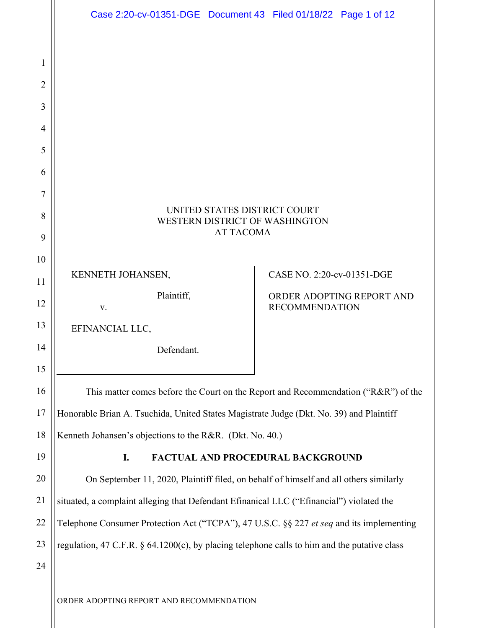|                | Case 2:20-cv-01351-DGE  Document 43  Filed 01/18/22  Page 1 of 12                               |                                                    |  |
|----------------|-------------------------------------------------------------------------------------------------|----------------------------------------------------|--|
|                |                                                                                                 |                                                    |  |
| 1              |                                                                                                 |                                                    |  |
| $\overline{2}$ |                                                                                                 |                                                    |  |
| 3              |                                                                                                 |                                                    |  |
| $\overline{4}$ |                                                                                                 |                                                    |  |
| 5              |                                                                                                 |                                                    |  |
| 6              |                                                                                                 |                                                    |  |
| $\overline{7}$ |                                                                                                 |                                                    |  |
| 8              | UNITED STATES DISTRICT COURT<br>WESTERN DISTRICT OF WASHINGTON<br><b>AT TACOMA</b>              |                                                    |  |
| 9              |                                                                                                 |                                                    |  |
| 10             |                                                                                                 |                                                    |  |
| 11             | KENNETH JOHANSEN,                                                                               | CASE NO. 2:20-cv-01351-DGE                         |  |
| 12             | Plaintiff,<br>V.                                                                                | ORDER ADOPTING REPORT AND<br><b>RECOMMENDATION</b> |  |
| 13             | EFINANCIAL LLC,                                                                                 |                                                    |  |
| 14             | Defendant.                                                                                      |                                                    |  |
| 15             |                                                                                                 |                                                    |  |
| 16             | This matter comes before the Court on the Report and Recommendation ("R&R") of the              |                                                    |  |
| 17             | Honorable Brian A. Tsuchida, United States Magistrate Judge (Dkt. No. 39) and Plaintiff         |                                                    |  |
| 18             | Kenneth Johansen's objections to the R&R. (Dkt. No. 40.)                                        |                                                    |  |
| 19             | <b>FACTUAL AND PROCEDURAL BACKGROUND</b><br>I.                                                  |                                                    |  |
| 20             | On September 11, 2020, Plaintiff filed, on behalf of himself and all others similarly           |                                                    |  |
| 21             | situated, a complaint alleging that Defendant Efinanical LLC ("Efinancial") violated the        |                                                    |  |
| 22             | Telephone Consumer Protection Act ("TCPA"), 47 U.S.C. §§ 227 et seq and its implementing        |                                                    |  |
| 23             | regulation, 47 C.F.R. $\S$ 64.1200(c), by placing telephone calls to him and the putative class |                                                    |  |
| 24             |                                                                                                 |                                                    |  |
|                | ORDER ADOPTING REPORT AND RECOMMENDATION                                                        |                                                    |  |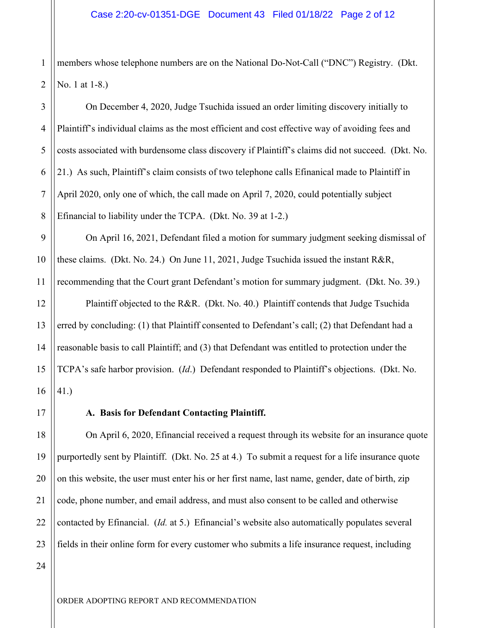1 2 members whose telephone numbers are on the National Do-Not-Call ("DNC") Registry. (Dkt. No. 1 at 1-8.)

On December 4, 2020, Judge Tsuchida issued an order limiting discovery initially to Plaintiff's individual claims as the most efficient and cost effective way of avoiding fees and costs associated with burdensome class discovery if Plaintiff's claims did not succeed. (Dkt. No. 21.) As such, Plaintiff's claim consists of two telephone calls Efinanical made to Plaintiff in April 2020, only one of which, the call made on April 7, 2020, could potentially subject Efinancial to liability under the TCPA. (Dkt. No. 39 at 1-2.)

On April 16, 2021, Defendant filed a motion for summary judgment seeking dismissal of these claims. (Dkt. No. 24.) On June 11, 2021, Judge Tsuchida issued the instant R&R, recommending that the Court grant Defendant's motion for summary judgment. (Dkt. No. 39.)

Plaintiff objected to the R&R. (Dkt. No. 40.) Plaintiff contends that Judge Tsuchida erred by concluding: (1) that Plaintiff consented to Defendant's call; (2) that Defendant had a reasonable basis to call Plaintiff; and (3) that Defendant was entitled to protection under the TCPA's safe harbor provision. (*Id*.) Defendant responded to Plaintiff's objections. (Dkt. No. 41.)

17

3

4

5

6

7

8

9

10

11

12

13

14

15

16

18

19

20

21

22

23

## **A. Basis for Defendant Contacting Plaintiff.**

On April 6, 2020, Efinancial received a request through its website for an insurance quote purportedly sent by Plaintiff. (Dkt. No. 25 at 4.) To submit a request for a life insurance quote on this website, the user must enter his or her first name, last name, gender, date of birth, zip code, phone number, and email address, and must also consent to be called and otherwise contacted by Efinancial. (*Id.* at 5.) Efinancial's website also automatically populates several fields in their online form for every customer who submits a life insurance request, including

24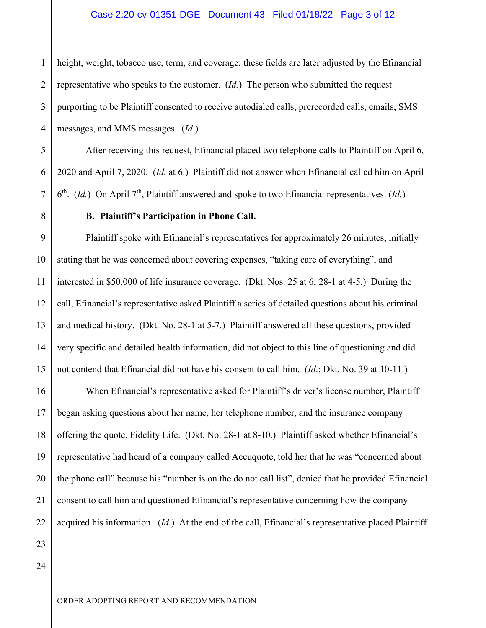### Case 2:20-cv-01351-DGE Document 43 Filed 01/18/22 Page 3 of 12

1 2 3 4 height, weight, tobacco use, term, and coverage; these fields are later adjusted by the Efinancial representative who speaks to the customer. (*Id.*) The person who submitted the request purporting to be Plaintiff consented to receive autodialed calls, prerecorded calls, emails, SMS messages, and MMS messages. (*Id*.)

After receiving this request, Efinancial placed two telephone calls to Plaintiff on April 6, 2020 and April 7, 2020. (*Id.* at 6.) Plaintiff did not answer when Efinancial called him on April  $6<sup>th</sup>$ . (*Id.*) On April 7<sup>th</sup>, Plaintiff answered and spoke to two Efinancial representatives. (*Id.*)

#### **B. Plaintiff's Participation in Phone Call.**

Plaintiff spoke with Efinancial's representatives for approximately 26 minutes, initially stating that he was concerned about covering expenses, "taking care of everything", and interested in \$50,000 of life insurance coverage. (Dkt. Nos. 25 at 6; 28-1 at 4-5.) During the call, Efinancial's representative asked Plaintiff a series of detailed questions about his criminal and medical history. (Dkt. No. 28-1 at 5-7.) Plaintiff answered all these questions, provided very specific and detailed health information, did not object to this line of questioning and did not contend that Efinancial did not have his consent to call him. (*Id*.; Dkt. No. 39 at 10-11.)

16 17 18 19 20 21 22 When Efinancial's representative asked for Plaintiff's driver's license number, Plaintiff began asking questions about her name, her telephone number, and the insurance company offering the quote, Fidelity Life. (Dkt. No. 28-1 at 8-10.) Plaintiff asked whether Efinancial's representative had heard of a company called Accuquote, told her that he was "concerned about the phone call" because his "number is on the do not call list", denied that he provided Efinancial consent to call him and questioned Efinancial's representative concerning how the company acquired his information. (*Id*.) At the end of the call, Efinancial's representative placed Plaintiff

24

23

5

6

7

8

9

10

11

12

13

14

15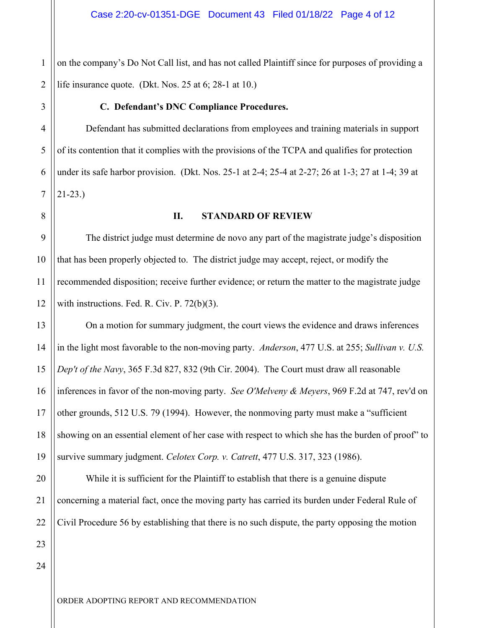1 2 on the company's Do Not Call list, and has not called Plaintiff since for purposes of providing a life insurance quote. (Dkt. Nos. 25 at 6; 28-1 at 10.)

3

4

5

6

### **C. Defendant's DNC Compliance Procedures.**

Defendant has submitted declarations from employees and training materials in support of its contention that it complies with the provisions of the TCPA and qualifies for protection under its safe harbor provision. (Dkt. Nos. 25-1 at 2-4; 25-4 at 2-27; 26 at 1-3; 27 at 1-4; 39 at 21-23.)

- 7
- 8

## **II. STANDARD OF REVIEW**

9 10 11 12 The district judge must determine de novo any part of the magistrate judge's disposition that has been properly objected to. The district judge may accept, reject, or modify the recommended disposition; receive further evidence; or return the matter to the magistrate judge with instructions. Fed. R. Civ. P. 72(b)(3).

13 14 15 16 17 18 19 On a motion for summary judgment, the court views the evidence and draws inferences in the light most favorable to the non-moving party. *Anderson*, 477 U.S. at 255; *Sullivan v. U.S. Dep't of the Navy*, 365 F.3d 827, 832 (9th Cir. 2004). The Court must draw all reasonable inferences in favor of the non-moving party. *See O'Melveny & Meyers*, 969 F.2d at 747, rev'd on other grounds, 512 U.S. 79 (1994). However, the nonmoving party must make a "sufficient showing on an essential element of her case with respect to which she has the burden of proof" to survive summary judgment. *Celotex Corp. v. Catrett*, 477 U.S. 317, 323 (1986).

While it is sufficient for the Plaintiff to establish that there is a genuine dispute concerning a material fact, once the moving party has carried its burden under Federal Rule of Civil Procedure 56 by establishing that there is no such dispute, the party opposing the motion

24

20

21

22

23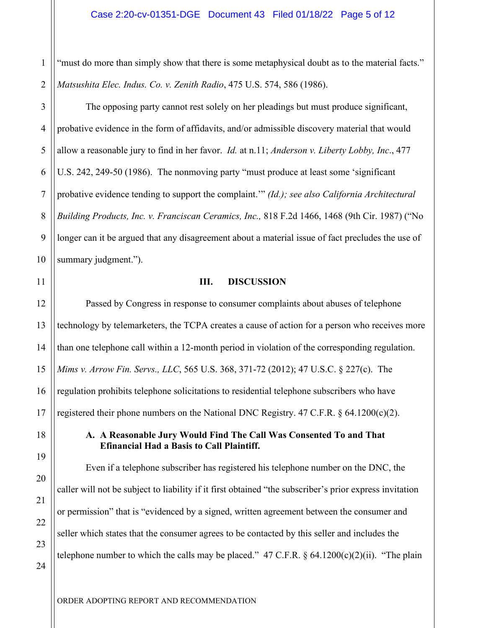1 2 "must do more than simply show that there is some metaphysical doubt as to the material facts." *Matsushita Elec. Indus. Co. v. Zenith Radio*, 475 U.S. 574, 586 (1986).

The opposing party cannot rest solely on her pleadings but must produce significant, probative evidence in the form of affidavits, and/or admissible discovery material that would allow a reasonable jury to find in her favor. *Id.* at n.11; *Anderson v. Liberty Lobby, Inc*., 477 U.S. 242, 249-50 (1986). The nonmoving party "must produce at least some 'significant probative evidence tending to support the complaint.'" *(Id.); see also California Architectural Building Products, Inc. v. Franciscan Ceramics, Inc.,* 818 F.2d 1466, 1468 (9th Cir. 1987) ("No longer can it be argued that any disagreement about a material issue of fact precludes the use of summary judgment.").

### **III. DISCUSSION**

Passed by Congress in response to consumer complaints about abuses of telephone technology by telemarketers, the TCPA creates a cause of action for a person who receives more than one telephone call within a 12-month period in violation of the corresponding regulation. *Mims v. Arrow Fin. Servs., LLC*, 565 U.S. 368, 371-72 (2012); 47 U.S.C. § 227(c). The regulation prohibits telephone solicitations to residential telephone subscribers who have registered their phone numbers on the National DNC Registry. 47 C.F.R. § 64.1200(c)(2).

# **A. A Reasonable Jury Would Find The Call Was Consented To and That Efinancial Had a Basis to Call Plaintiff.**

Even if a telephone subscriber has registered his telephone number on the DNC, the caller will not be subject to liability if it first obtained "the subscriber's prior express invitation or permission" that is "evidenced by a signed, written agreement between the consumer and seller which states that the consumer agrees to be contacted by this seller and includes the telephone number to which the calls may be placed." 47 C.F.R.  $\S$  64.1200(c)(2)(ii). "The plain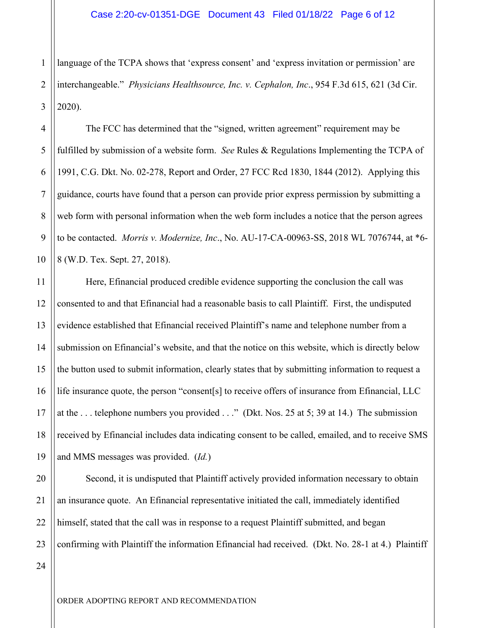1 2 3 language of the TCPA shows that 'express consent' and 'express invitation or permission' are interchangeable." *Physicians Healthsource, Inc. v. Cephalon, Inc*., 954 F.3d 615, 621 (3d Cir. 2020).

4 8 10 The FCC has determined that the "signed, written agreement" requirement may be fulfilled by submission of a website form. *See* Rules & Regulations Implementing the TCPA of 1991, C.G. Dkt. No. 02-278, Report and Order, 27 FCC Rcd 1830, 1844 (2012). Applying this guidance, courts have found that a person can provide prior express permission by submitting a web form with personal information when the web form includes a notice that the person agrees to be contacted. *Morris v. Modernize, Inc*., No. AU-17-CA-00963-SS, 2018 WL 7076744, at \*6- 8 (W.D. Tex. Sept. 27, 2018).

11 12 13 14 15 16 17 18 19 Here, Efinancial produced credible evidence supporting the conclusion the call was consented to and that Efinancial had a reasonable basis to call Plaintiff. First, the undisputed evidence established that Efinancial received Plaintiff's name and telephone number from a submission on Efinancial's website, and that the notice on this website, which is directly below the button used to submit information, clearly states that by submitting information to request a life insurance quote, the person "consent[s] to receive offers of insurance from Efinancial, LLC at the . . . telephone numbers you provided . . ." (Dkt. Nos. 25 at 5; 39 at 14.) The submission received by Efinancial includes data indicating consent to be called, emailed, and to receive SMS and MMS messages was provided. (*Id.*)

20 21 22 23 Second, it is undisputed that Plaintiff actively provided information necessary to obtain an insurance quote. An Efinancial representative initiated the call, immediately identified himself, stated that the call was in response to a request Plaintiff submitted, and began confirming with Plaintiff the information Efinancial had received. (Dkt. No. 28-1 at 4.) Plaintiff

24

5

6

7

9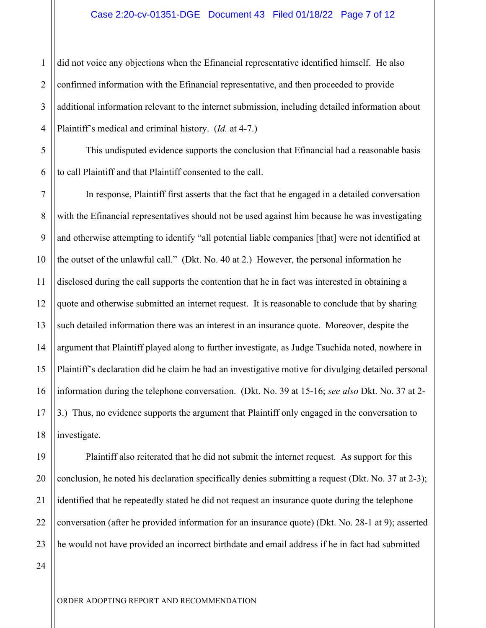### Case 2:20-cv-01351-DGE Document 43 Filed 01/18/22 Page 7 of 12

1 2 3 4 did not voice any objections when the Efinancial representative identified himself. He also confirmed information with the Efinancial representative, and then proceeded to provide additional information relevant to the internet submission, including detailed information about Plaintiff's medical and criminal history. (*Id.* at 4-7.)

5 6 This undisputed evidence supports the conclusion that Efinancial had a reasonable basis to call Plaintiff and that Plaintiff consented to the call.

7 8 9 10 11 12 13 14 15 16 17 18 In response, Plaintiff first asserts that the fact that he engaged in a detailed conversation with the Efinancial representatives should not be used against him because he was investigating and otherwise attempting to identify "all potential liable companies [that] were not identified at the outset of the unlawful call." (Dkt. No. 40 at 2.) However, the personal information he disclosed during the call supports the contention that he in fact was interested in obtaining a quote and otherwise submitted an internet request. It is reasonable to conclude that by sharing such detailed information there was an interest in an insurance quote. Moreover, despite the argument that Plaintiff played along to further investigate, as Judge Tsuchida noted, nowhere in Plaintiff's declaration did he claim he had an investigative motive for divulging detailed personal information during the telephone conversation. (Dkt. No. 39 at 15-16; *see also* Dkt. No. 37 at 2- 3.) Thus, no evidence supports the argument that Plaintiff only engaged in the conversation to investigate.

19 20 22 23 Plaintiff also reiterated that he did not submit the internet request. As support for this conclusion, he noted his declaration specifically denies submitting a request (Dkt. No. 37 at 2-3); identified that he repeatedly stated he did not request an insurance quote during the telephone conversation (after he provided information for an insurance quote) (Dkt. No. 28-1 at 9); asserted he would not have provided an incorrect birthdate and email address if he in fact had submitted

24

21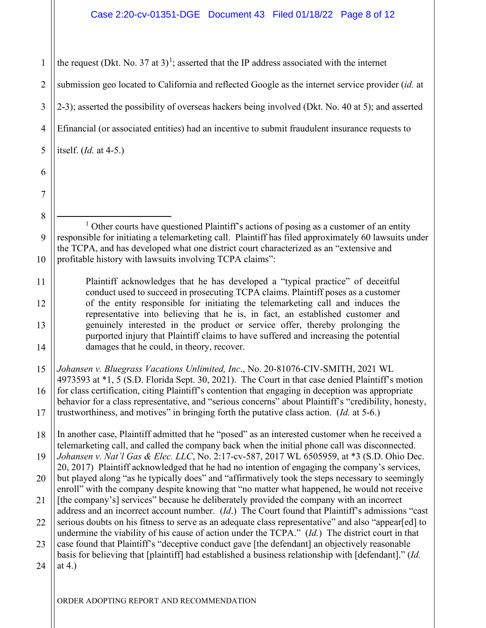## Case 2:20-cv-01351-DGE Document 43 Filed 01/18/22 Page 8 of 12

1

7

11

2 3 4 5 6 8 9 10 12 13 14 15 16 17 18 19 20 21 22 23 24 the request (Dkt. No. 37 at 3)<sup>1</sup>; asserted that the IP address associated with the internet submission geo located to California and reflected Google as the internet service provider (*id.* at 2-3); asserted the possibility of overseas hackers being involved (Dkt. No. 40 at 5); and asserted Efinancial (or associated entities) had an incentive to submit fraudulent insurance requests to itself. (*Id.* at 4-5.) <sup>1</sup> Other courts have questioned Plaintiff's actions of posing as a customer of an entity responsible for initiating a telemarketing call. Plaintiff has filed approximately 60 lawsuits under the TCPA, and has developed what one district court characterized as an "extensive and profitable history with lawsuits involving TCPA claims": Plaintiff acknowledges that he has developed a "typical practice" of deceitful conduct used to succeed in prosecuting TCPA claims. Plaintiff poses as a customer of the entity responsible for initiating the telemarketing call and induces the representative into believing that he is, in fact, an established customer and genuinely interested in the product or service offer, thereby prolonging the purported injury that Plaintiff claims to have suffered and increasing the potential damages that he could, in theory, recover. *Johansen v. Bluegrass Vacations Unlimited, Inc*., No. 20-81076-CIV-SMITH, 2021 WL 4973593 at \*1, 5 (S.D. Florida Sept. 30, 2021). The Court in that case denied Plaintiff's motion for class certification, citing Plaintiff's contention that engaging in deception was appropriate behavior for a class representative, and "serious concerns" about Plaintiff's "credibility, honesty, trustworthiness, and motives" in bringing forth the putative class action. (*Id.* at 5-6.) In another case, Plaintiff admitted that he "posed" as an interested customer when he received a telemarketing call, and called the company back when the initial phone call was disconnected. *Johansen v. Nat'l Gas & Elec. LLC*, No. 2:17-cv-587, 2017 WL 6505959, at \*3 (S.D. Ohio Dec. 20, 2017) Plaintiff acknowledged that he had no intention of engaging the company's services, but played along "as he typically does" and "affirmatively took the steps necessary to seemingly enroll" with the company despite knowing that "no matter what happened, he would not receive [the company's] services" because he deliberately provided the company with an incorrect address and an incorrect account number. (*Id*.) The Court found that Plaintiff's admissions "cast serious doubts on his fitness to serve as an adequate class representative" and also "appear[ed] to undermine the viability of his cause of action under the TCPA." (*Id.*) The district court in that case found that Plaintiff's "deceptive conduct gave [the defendant] an objectively reasonable basis for believing that [plaintiff] had established a business relationship with [defendant]." (*Id.* at 4.)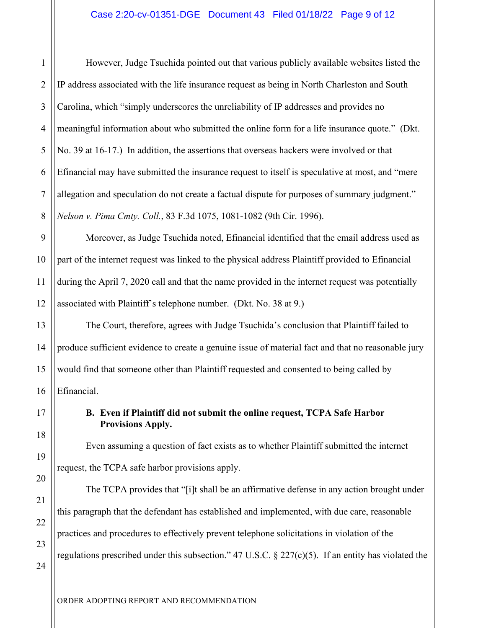1 2 3 4 5 6 7 However, Judge Tsuchida pointed out that various publicly available websites listed the IP address associated with the life insurance request as being in North Charleston and South Carolina, which "simply underscores the unreliability of IP addresses and provides no meaningful information about who submitted the online form for a life insurance quote." (Dkt. No. 39 at 16-17.) In addition, the assertions that overseas hackers were involved or that Efinancial may have submitted the insurance request to itself is speculative at most, and "mere allegation and speculation do not create a factual dispute for purposes of summary judgment." *Nelson v. Pima Cmty. Coll.*, 83 F.3d 1075, 1081-1082 (9th Cir. 1996).

Moreover, as Judge Tsuchida noted, Efinancial identified that the email address used as part of the internet request was linked to the physical address Plaintiff provided to Efinancial during the April 7, 2020 call and that the name provided in the internet request was potentially associated with Plaintiff's telephone number. (Dkt. No. 38 at 9.)

The Court, therefore, agrees with Judge Tsuchida's conclusion that Plaintiff failed to produce sufficient evidence to create a genuine issue of material fact and that no reasonable jury would find that someone other than Plaintiff requested and consented to being called by Efinancial.

# **B. Even if Plaintiff did not submit the online request, TCPA Safe Harbor Provisions Apply.**

Even assuming a question of fact exists as to whether Plaintiff submitted the internet request, the TCPA safe harbor provisions apply.

The TCPA provides that "[i]t shall be an affirmative defense in any action brought under this paragraph that the defendant has established and implemented, with due care, reasonable practices and procedures to effectively prevent telephone solicitations in violation of the regulations prescribed under this subsection." 47 U.S.C. § 227(c)(5). If an entity has violated the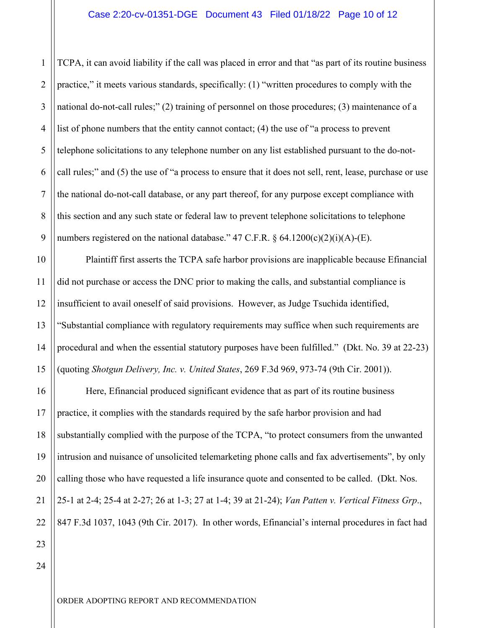1 2 3 4 5 6 7 8 9 TCPA, it can avoid liability if the call was placed in error and that "as part of its routine business practice," it meets various standards, specifically: (1) "written procedures to comply with the national do-not-call rules;" (2) training of personnel on those procedures; (3) maintenance of a list of phone numbers that the entity cannot contact; (4) the use of "a process to prevent telephone solicitations to any telephone number on any list established pursuant to the do-notcall rules;" and (5) the use of "a process to ensure that it does not sell, rent, lease, purchase or use the national do-not-call database, or any part thereof, for any purpose except compliance with this section and any such state or federal law to prevent telephone solicitations to telephone numbers registered on the national database."  $47 \text{ C.F.R.}$  §  $64.1200(c)(2)(i)(A)-(E)$ .

10 13 14 Plaintiff first asserts the TCPA safe harbor provisions are inapplicable because Efinancial did not purchase or access the DNC prior to making the calls, and substantial compliance is insufficient to avail oneself of said provisions. However, as Judge Tsuchida identified, "Substantial compliance with regulatory requirements may suffice when such requirements are procedural and when the essential statutory purposes have been fulfilled." (Dkt. No. 39 at 22-23) (quoting *Shotgun Delivery, Inc. v. United States*, 269 F.3d 969, 973-74 (9th Cir. 2001)).

16 18 19 20 Here, Efinancial produced significant evidence that as part of its routine business practice, it complies with the standards required by the safe harbor provision and had substantially complied with the purpose of the TCPA, "to protect consumers from the unwanted intrusion and nuisance of unsolicited telemarketing phone calls and fax advertisements", by only calling those who have requested a life insurance quote and consented to be called. (Dkt. Nos. 25-1 at 2-4; 25-4 at 2-27; 26 at 1-3; 27 at 1-4; 39 at 21-24); *Van Patten v. Vertical Fitness Grp*., 847 F.3d 1037, 1043 (9th Cir. 2017). In other words, Efinancial's internal procedures in fact had

24

21

22

23

11

12

15

17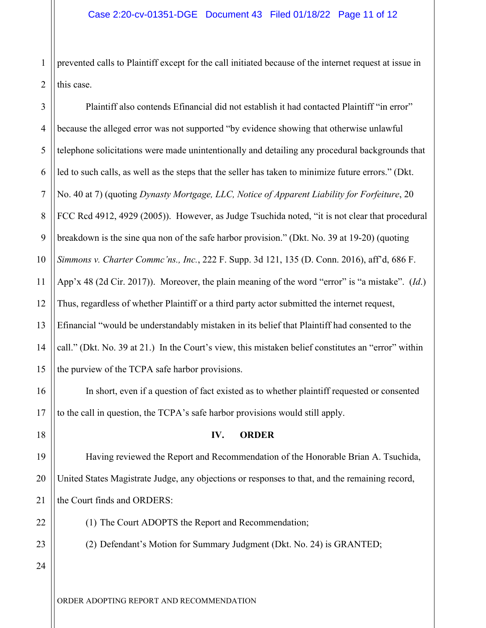1 2 prevented calls to Plaintiff except for the call initiated because of the internet request at issue in this case.

3 4 5 6 7 8 9 10 11 12 13 14 15 Plaintiff also contends Efinancial did not establish it had contacted Plaintiff "in error" because the alleged error was not supported "by evidence showing that otherwise unlawful telephone solicitations were made unintentionally and detailing any procedural backgrounds that led to such calls, as well as the steps that the seller has taken to minimize future errors." (Dkt. No. 40 at 7) (quoting *Dynasty Mortgage, LLC, Notice of Apparent Liability for Forfeiture*, 20 FCC Rcd 4912, 4929 (2005)). However, as Judge Tsuchida noted, "it is not clear that procedural breakdown is the sine qua non of the safe harbor provision." (Dkt. No. 39 at 19-20) (quoting *Simmons v. Charter Commc'ns., Inc.*, 222 F. Supp. 3d 121, 135 (D. Conn. 2016), aff'd, 686 F. App'x 48 (2d Cir. 2017)). Moreover, the plain meaning of the word "error" is "a mistake". (*Id*.) Thus, regardless of whether Plaintiff or a third party actor submitted the internet request, Efinancial "would be understandably mistaken in its belief that Plaintiff had consented to the call." (Dkt. No. 39 at 21.) In the Court's view, this mistaken belief constitutes an "error" within the purview of the TCPA safe harbor provisions.

In short, even if a question of fact existed as to whether plaintiff requested or consented to the call in question, the TCPA's safe harbor provisions would still apply.

18

16

17

19

20

21

22

23

## **IV. ORDER**

Having reviewed the Report and Recommendation of the Honorable Brian A. Tsuchida, United States Magistrate Judge, any objections or responses to that, and the remaining record, the Court finds and ORDERS:

(1) The Court ADOPTS the Report and Recommendation;

(2) Defendant's Motion for Summary Judgment (Dkt. No. 24) is GRANTED;

24